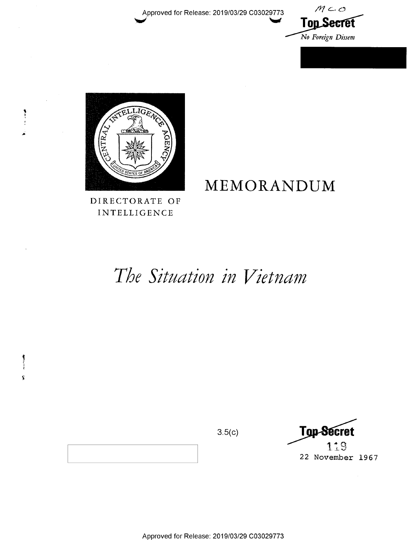Approved for Release: 2019/03/29 C03029773





Ĵ

ŷ

## DIRECTORATE OF INTELLIGENCE

# MEMORANDUM

The Situation in Vietnam

 $3.5(c)$ 

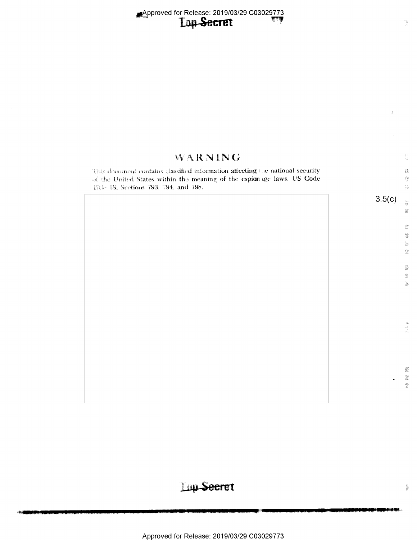## WARNING

This document contains classified information affecting the national security of the United States within the meaning of the espionage laws, US Code Title 18, Sections 793, 794, and 798.

 $3.5(c)$ 

 $\frac{\partial V}{\partial \sigma}$ 鑞 蠶 龘  $\frac{35}{152}$ 

 $\frac{501}{38}$ 

踪

龗

 $\frac{3}{4}\hat{a}^{\dagger}_{\uparrow}$ 

 $\frac{1}{2\sqrt{3}}$  $\mathbb{R}^2$ 

 $\frac{\sin\theta}{\sin\theta}$ 龒

 $\frac{1}{2}$ 

 $\begin{aligned} &\frac{1}{2} \frac{1}{2} \frac{1}{2} \frac{1}{2} \frac{1}{2} \frac{1}{2} \frac{1}{2} \frac{1}{2} \frac{1}{2} \frac{1}{2} \frac{1}{2} \frac{1}{2} \frac{1}{2} \frac{1}{2} \frac{1}{2} \frac{1}{2} \frac{1}{2} \frac{1}{2} \frac{1}{2} \frac{1}{2} \frac{1}{2} \frac{1}{2} \frac{1}{2} \frac{1}{2} \frac{1}{2} \frac{1}{2} \frac{1}{2} \frac{1}{2} \frac{1}{2} \frac{1}{2} \frac{1$ 

龖 整理 體

调

# **Lap Seeret**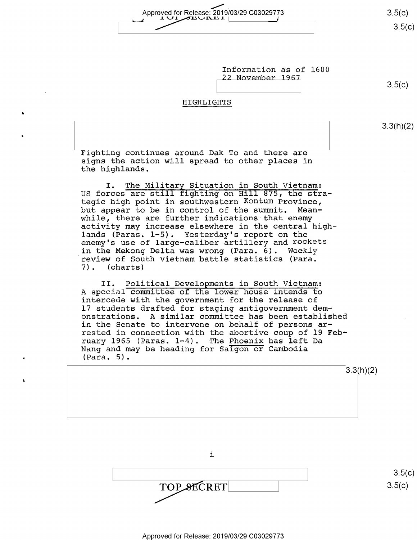Approved for Release: 2019/03/29 C03029773 3.5(c) 3.5(c)

Information as of 1600

 $3.5(c)$ 

3.3(h)(2)

### HIGHLIGHTS

Fighting continues around Dak To and there are signs the action will spread to other places in the highlands.

 $I.$ I. The Military Situation in South Vietnam:<br>US forces are still fighting on Hill 875, the strategic high point in southwestern Kontum Province,<br>but appear to be in control of the summit. Meanbut appear to be in control of the summit. while, there are further indications that enemy activity may increase elsewhere in the central high-<br>lands (Paras. 1-5). Yesterday's report on the enemy's use of large-caliber artillery and rockets in the Mekong Delta was wrong (Para. 6). Weekly review of South Vietnam battle statistics (Para.<br>7). (charts) 7). (charts)

II. Political Developments in South Vietnam:<br>A special committee of the lower house intends to intercede with the government for the release of l7 students drafted for staging antigovernment demonstrations. A similar committee has been established in the Senate to intervene on behalf of persons arrested in connection with the abortive coup of 19 February 1965 (Paras. 1-4). The Phoenix has left Da Nang and may be heading for Saigon or Cambodia (Para. 5)

3.3(h)(2)

i  $\overline{\phantom{a}}$  . The contract of the contract of the contract of the contract of the contract of the contract of the contract of the contract of the contract of the contract of the contract of the contract of the contract of TOP SECRET

 $3.5(c)$  $3.5(c)$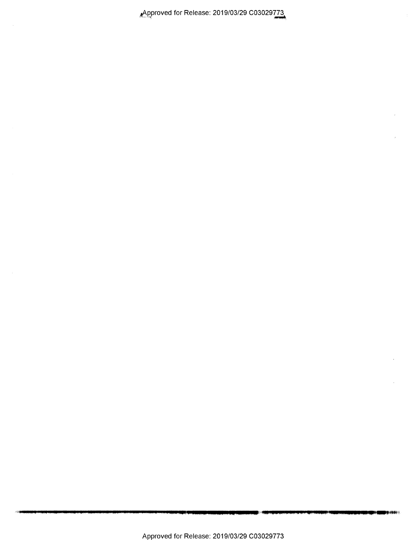$\sim$  Approved for Release: 2019/03/29 C03029 (13)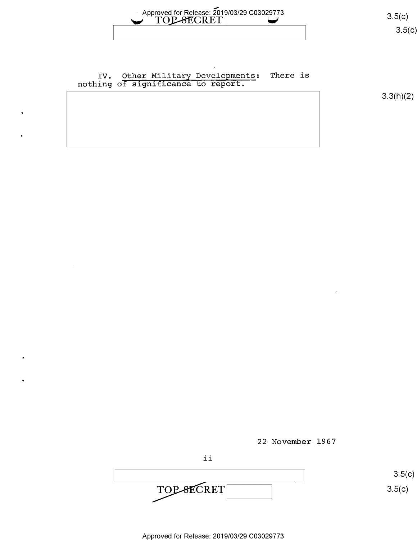Approved for Release: 2019/03/29 C03029773

 $3.5(c)$  $3.5(c)$ 

IV. Other Military Developments: There is<br>nothing of significance to report.

 $3.3(h)(2)$ 





 $3.5(c)$  $3.5(c)$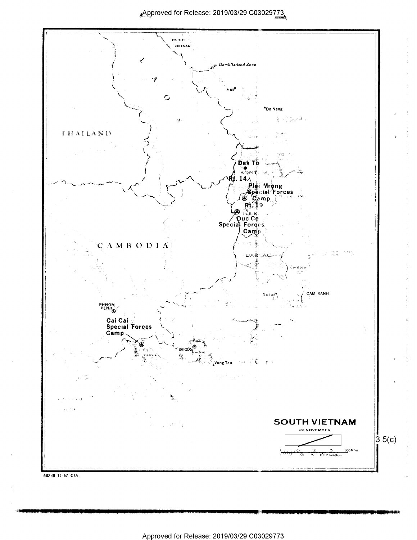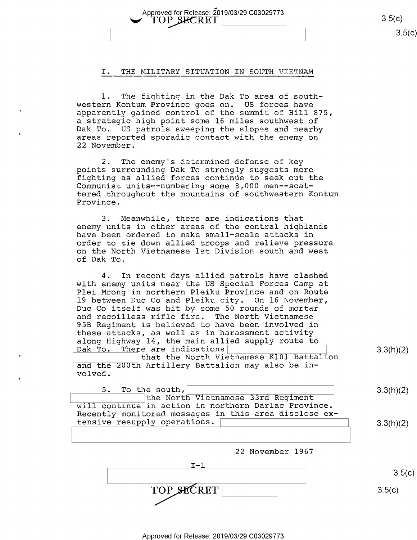Approved for Release: 2019/03/29 C03029773<br>
TOP SECRET | 3.5(c)<br>
3.5(c)

 $\vert$  3.5(c)

#### I. THE MILITARY SITUATION IN SOUTH VIETNAM

The fighting in the Dak To area of south- $1.$ western Kontum Province goes on. US forces have apparently gained control of the summit of Hill 875, a strategic high point some l6 miles southwest of Dak To. US patrols sweeping the slopes and nearby areas reported sporadic contact with the enemy on 22 November

2. The enemy's determined defense of key<br>points surrounding Dak To strongly suggests more<br>fighting as allied forces continue to seek out the Communist units~—numbering some 8,000 men——scattered throughout the mountains of southwestern Kontum Province.

3. Meanwhile, there are indications that enemy units in other areas of the central highlands have been ordered to make small—scale attacks in order to tie down allied troops and relieve pressure on the North Vietnamese lst Division south and west of Dak To

4. In recent days allied patrols have clashed with enemy units near the US Special Forces Camp at Plei Mrong in northern Pleiku Province and on Route 19 between Duc Co and Pleiku city. On l6 November, Duc Co itself was hit by some 50 rounds of mortar and recoilless rifle fire. The North Vietnamese 95B Regiment is believed to have been involved in these attacks, as well as in harassment activity along Highway 14, the main allied supply route to Dak To. There are indications

that the North Vietnamese K101 Battalion and the 200th Artillery Battalion may also be involved.

5. To the south,<br>the North Vietnamese 33rd Regiment the North Vietnamese 33rd Regiment |<br>Eill continue in estien in northern Darlas Brewin will continue in action in northern Darlac Province. Recently monitored messages in this area disclose extensive resupply operations.  $\boxed{\qquad \qquad }$  3.3(h)(2)

3.3(h)(2)

3.3(h)(2)

22 November 1967

 $I-1$ 3.5(C)  $\overline{\phantom{a}}$  . The contract of the contract of the contract of the contract of the contract of the contract of the contract of the contract of the contract of the contract of the contract of the contract of the contract of  $\text{TOP}$   $\text{SECRET}$   $\vert$  3.5(c)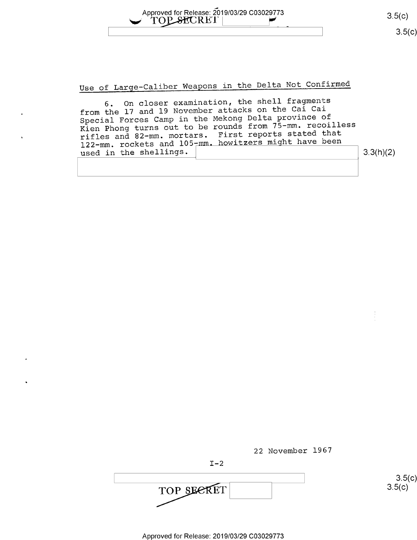Approved for Release: 2019/03/29 C03029773 3.5(c)<br>  $\overline{Y}$  TOP SECRET | '  $3.5(c)$ 

Use of Large—Caliber Weapons in the Delta Not Confirmed

6. On closer examination, the shell fragments from the l7 and l9 November attacks on the Cai Cai Special Forces Camp in the Mekong Delta province of Kien Phong turns out to be rounds from 75-mm. recoilless rifles and 82—mm. mortars. First reports stated that 122-mm. rockets and 105-mm. howitzers might have been used in the shellings.  $|$  3.3(h)(2)



 $I-2$ 

 $\overline{S}$  s.5(t)  $TOP$  SECRET  $3.5(c)$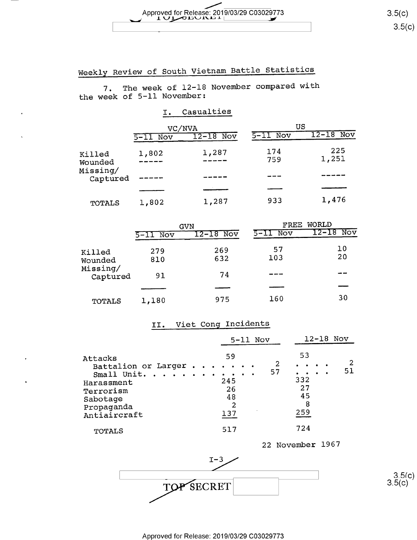# Approved for Release: 2019/03/29 C03029773

# Weekly Review of South Vietnam Battle Statistics

7. The week of 12-18 November compared with the week of 5-11 November:

#### Casualties I.

|                      | VC/NVA     |             | US         |              |
|----------------------|------------|-------------|------------|--------------|
|                      | $5-11$ Nov | $12-18$ Nov | $5-11$ Nov | Nov<br>12-18 |
| Killed<br>Wounded    | 1,802      | 1,287       | 174<br>759 | 225<br>1,251 |
| Missing/<br>Captured |            |             |            |              |
|                      |            |             |            |              |
| TOTALS               | 1,802      | 1,287       | 933        | 1,476        |

|                      | GVN        |             | <b>WORLD</b><br>FREE |              |
|----------------------|------------|-------------|----------------------|--------------|
|                      | $5-11$ Nov | $12-18$ Nov | $5 - 11$ Nov         | Nov<br>12-18 |
| Killed               | 279        | 269         | 57                   | 10           |
| Wounded              | 810        | 632         | 103                  | 20           |
| Missing/<br>Captured | 91         | 74          |                      |              |
|                      |            |             |                      |              |
| <b>TOTALS</b>        | 1,180      | 975         | 160                  | 30           |

#### Viet Cong Incidents II.

|                                                                                                                                      | $5-11$ Nov                        |         | $12-18$ Nov                       |         |
|--------------------------------------------------------------------------------------------------------------------------------------|-----------------------------------|---------|-----------------------------------|---------|
| Attacks<br>Battalion or Larger<br>Small Unit. $\cdots$ $\cdots$<br>Harassment<br>Terrorism<br>Sabotage<br>Propaganda<br>Antiaircraft | 59<br>245<br>26<br>48<br>2<br>137 | 2<br>57 | 53<br>332<br>27<br>45<br>8<br>259 | 2<br>51 |
| TOTALS                                                                                                                               | 517                               |         | 724                               |         |

22 November 1967



 $3.5(c)$ <br> $3.5(c)$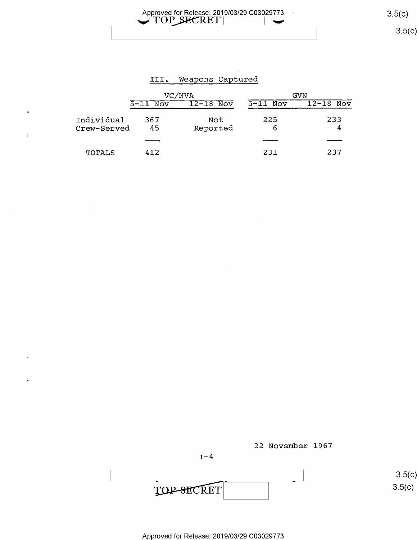

### III. Weapons Captured

 $\blacksquare$ 

 $\overline{\phantom{a}}$ 

|                           | VC/NVA          |                         | GVN         |                  |
|---------------------------|-----------------|-------------------------|-------------|------------------|
|                           | Nov<br>$5 - 11$ | $12 - 18$<br><b>Nov</b> | Nov<br>5-11 | $12 - 18$<br>Nov |
| Individual<br>Crew-Served | 367<br>45       | Not<br>Reported         | 225<br>ь    | 233<br>4         |
|                           | سند .           |                         |             |                  |
| <b>TOTALS</b>             | 412             |                         | 231         | 237              |

22 November 1967

 $I-4$ 

\ \_ 5 \_\_ \_ \  $\bm \cup$  .  $3.5$ (c)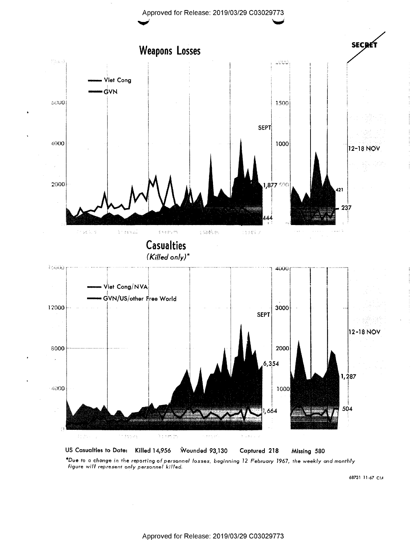

\*Due to a change in the reporting of personnel losses, beginning  $12$  February 1967, the weekly and monthly figure will represent only personnel killed.

68731 11-67 CIA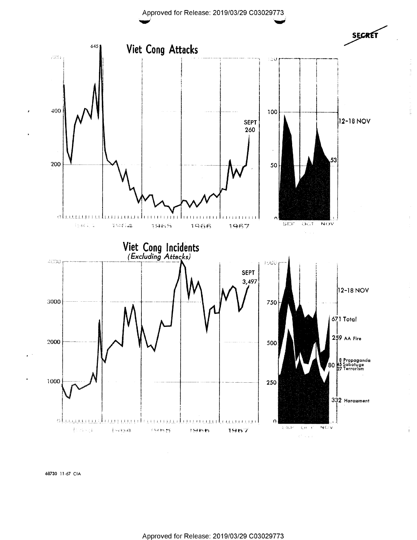

İ

 $\bar{1}$ 

Ŧ



68730 11-67 CIA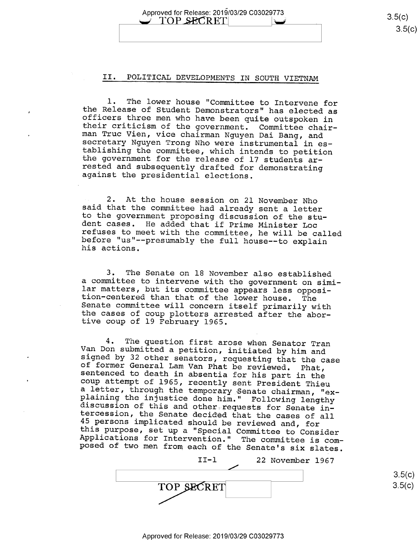Approved for Release: 2019/03/29 C03029773<br>
<br>  $\bullet$  TOP SECRET if it is in the 3.5(c)

 $3.5(c)$ 

### II. POLITICAL DEVELOPMENTS IN SOUTH VIETNAM

1. The lower house "Committee to Intervene for<br>the Release of Student Demonstrators" has elected as<br>officers three men who have been quite outspoken in<br>their criticism of the government. Committee chair-<br>man Truc Vien, vic

2. At the house session on 21 November Nho<br>said that the committee had already sent a letter<br>to the government proposing discussion of the stu-<br>dent cases. He added that if Prime Minister Loc<br>refuses to meet with the commi

3. The Senate on 18 November also established<br>a committee to intervene with the government on simi-<br>lar matters, but its committee appears less opposi-<br>tion-centered than that of the lower house. The<br>Senate committee will

4. The question first arose when Senator Tran<br>Van Don submitted a petition, initiated by him and<br>signed by 32 other senators, requesting that the case<br>of former General Lam Van Phat be reviewed. Phat,<br>sentenced to death in



 $3.5$ (c)  $3.5(c)$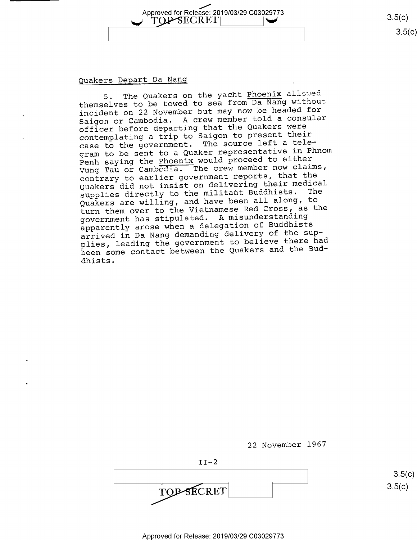Approved for Release: 2019/03/29 C03029773<br>Camera TOP SECRET  $\overline{\phantom{a}}$  s.5(c)

၁.၁(C)

### Quakers Depart Da Nang

5. The Quakers on the yacht Phoenix allowed themselves to be towed to sea from Da Nang without incident on 22 November but may now be headed for Saigon or Cambodia. A crew member told a consular officer before departing that the Quakers were contemplating a trip to Saigon to present their case to the government. The source left a telegram to be sent to a Quaker representative in Phnom Penh saying the Phoenix would proceed to either Vung Tau or Cambodia. The crew member now claims, contrary to earlier government reports, that the Quakers did not insist on delivering their medical supplies directly to the militant Buddhists. The Quakers are willing, and have been all along, to turn them over to the Vietnamese Red Cross, as the government has stipulated. A misunderstanding apparently arose when a delegation of Buddhists arrived in Da Nang demanding delivery of the supplies, leading the government to believe there had been some contact between the Quakers and the Buddhists.

22 November 1967

 $II-2$ TOP SECRET

 $3.5(c)$  $3.5(c)$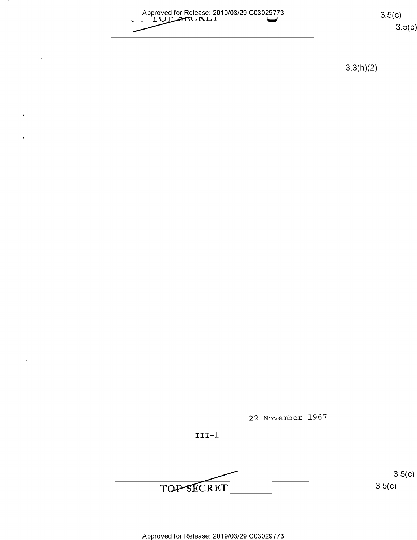

22 November 1967

III—l

 $\widehat{R}$   $\widehat{R}$   $\widehat{R}$   $\widehat{R}$   $\widehat{R}$   $\widehat{R}$   $\widehat{R}$   $\widehat{R}$   $\widehat{R}$   $\widehat{R}$   $\widehat{R}$   $\widehat{R}$   $\widehat{R}$   $\widehat{R}$   $\widehat{R}$   $\widehat{R}$   $\widehat{R}$   $\widehat{R}$   $\widehat{R}$   $\widehat{R}$   $\widehat{R}$   $\widehat{R}$   $\widehat{R}$   $\widehat{R}$   $\widehat{$ TOPSECRET 3.5(c)

 $3.5(c)$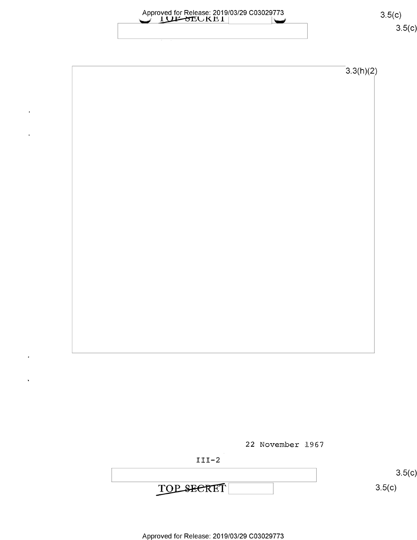$3.5(c)$  $3.5(c)$ 

 $3.5(c)$ 

### Approved for Release: 2019/03/29 C03029773  $\overline{\phantom{a}}$

 $\bar{\phantom{a}}$ 

 $\ddot{\phantom{1}}$ 

 $\ddot{\phantom{1}}$ 

| 3.3(h)(2) |
|-----------|
|           |
|           |
|           |
|           |
|           |
|           |
|           |
|           |
|           |
|           |
|           |
|           |
|           |
|           |
|           |

22 November 1967

$$
\begin{array}{c}\n111-2 \\
\hline\n\text{TOP} \text{SEERET} \quad \text{3.5(c)}\n\end{array}
$$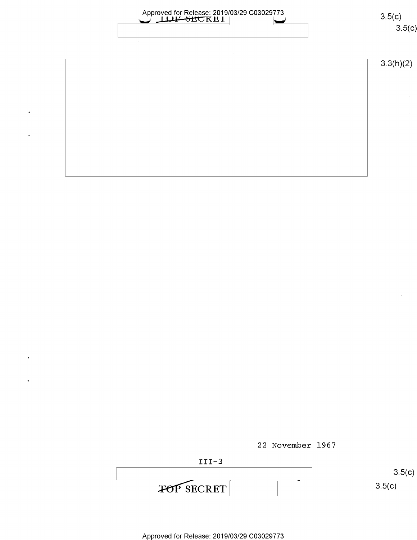

22 November 1967

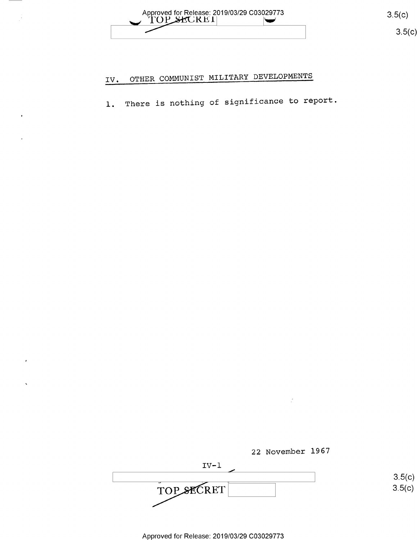Approved for Release: 2019/03/29 C03029773 <sup>E</sup>~ 3 5( ) . <sup>C</sup>\;'TOfl§£UKEM B, \ Z \ s.5(¢)

÷,

# IV. OTHER COMMUNIST MILITARY DEVELOPMENTS

l. There is nothing of significance to report.

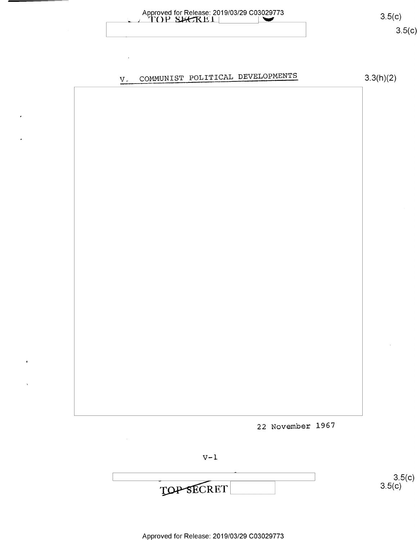Approved for Release: 2019/03/29 C03029773 3.5(c)  $3.5(c)$ 





3.9(C)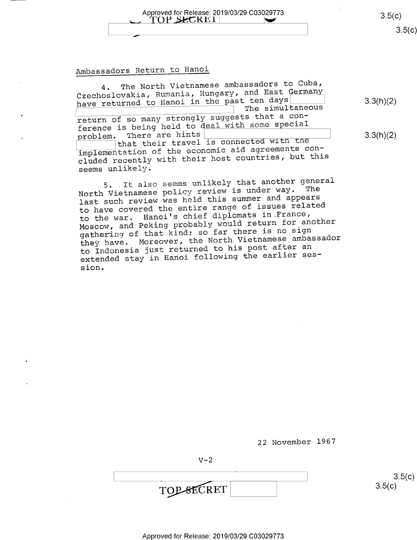$3.5(c)$ 

## Ambassadors Return to Hanoi

 $\ddot{\phantom{0}}$ 

The North Vietnamese ambassadors to Cuba, 4. The North Vietnamese ampassadors to caba,<br>Czechoslovakia, Rumania, Hungary, and East Germany have returned to Hanoi in the past ten days | 3.3(h)(2) return of so many strongly suggests that a con-The simultaneous ference is being held to deal with some special<br>problem. There are hints problem. There are hints<br>
that their travel is connected with the '( X 3.3(h)(2) 3.3(h)(2) implementation of the economic aid agreements concluded recently with their host countries, but this seems unlikely. 5. It also seems unlikely that another general North Vietnamese policy review is under way. last such review was held this summer and appears

to have covered the entire range of issues related to the war. Hanoi's chief diplomats in.France, Moscow, and Peking probably would return for another gathering of that kind; so far there is no sign they have. Moreover, the North Vietnamese ambassador to Indonesia just returned to his post after an extended stay in Hanoi following the earlier session

Approved for Release: 2019/03/29 C03029773<br>
TOP SECRET

22 November 1967

 $V-2$ 

**TOP-SECRET** 

 $\frac{3.5(c)}{3.5(c)}$